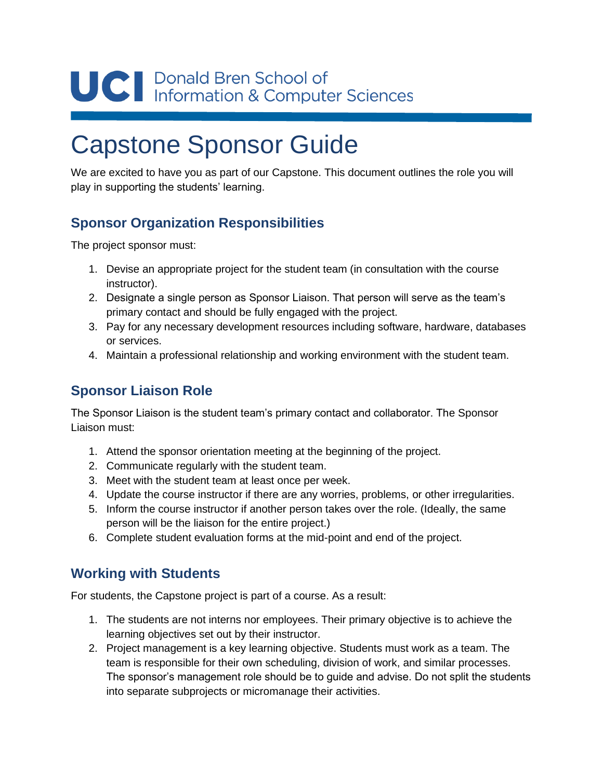# UC | Donald Bren School of<br>Information & Computer Sciences

## Capstone Sponsor Guide

We are excited to have you as part of our Capstone. This document outlines the role you will play in supporting the students' learning.

### **Sponsor Organization Responsibilities**

The project sponsor must:

- 1. Devise an appropriate project for the student team (in consultation with the course instructor).
- 2. Designate a single person as Sponsor Liaison. That person will serve as the team's primary contact and should be fully engaged with the project.
- 3. Pay for any necessary development resources including software, hardware, databases or services.
- 4. Maintain a professional relationship and working environment with the student team.

#### **Sponsor Liaison Role**

The Sponsor Liaison is the student team's primary contact and collaborator. The Sponsor Liaison must:

- 1. Attend the sponsor orientation meeting at the beginning of the project.
- 2. Communicate regularly with the student team.
- 3. Meet with the student team at least once per week.
- 4. Update the course instructor if there are any worries, problems, or other irregularities.
- 5. Inform the course instructor if another person takes over the role. (Ideally, the same person will be the liaison for the entire project.)
- 6. Complete student evaluation forms at the mid-point and end of the project.

#### **Working with Students**

For students, the Capstone project is part of a course. As a result:

- 1. The students are not interns nor employees. Their primary objective is to achieve the learning objectives set out by their instructor.
- 2. Project management is a key learning objective. Students must work as a team. The team is responsible for their own scheduling, division of work, and similar processes. The sponsor's management role should be to guide and advise. Do not split the students into separate subprojects or micromanage their activities.